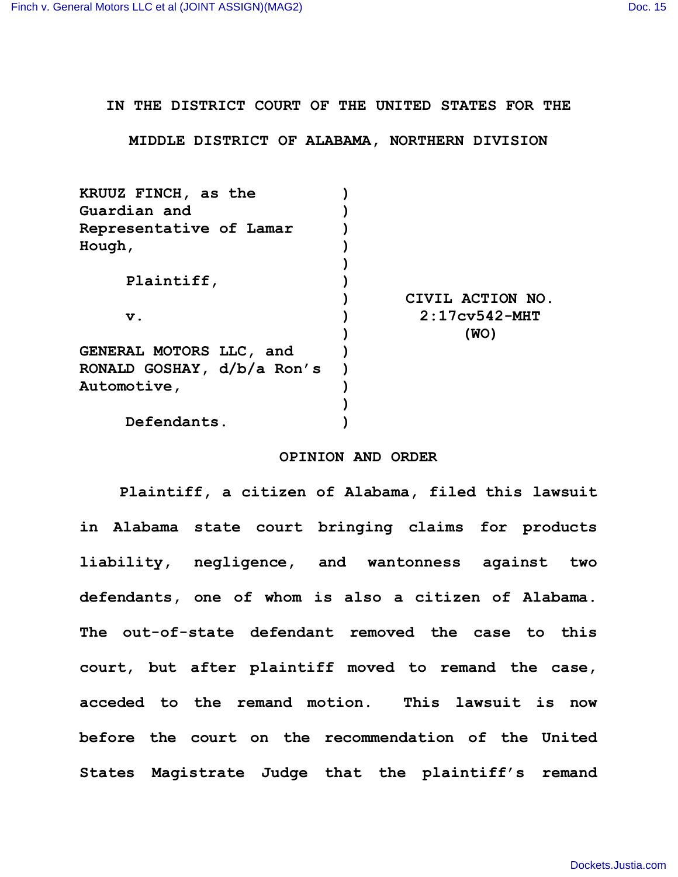**IN THE DISTRICT COURT OF THE UNITED STATES FOR THE**

**MIDDLE DISTRICT OF ALABAMA, NORTHERN DIVISION**

| KRUUZ FINCH, as the        |                  |
|----------------------------|------------------|
| Guardian and               |                  |
| Representative of Lamar    |                  |
| Hough ,                    |                  |
|                            |                  |
| Plaintiff,                 |                  |
|                            | CIVIL ACTION NO. |
| v.                         | $2:17cy542-MHT$  |
|                            | (WO)             |
| GENERAL MOTORS LLC, and    |                  |
| RONALD GOSHAY, d/b/a Ron's |                  |
| <b>Automotive,</b>         |                  |
|                            |                  |
| Defendants.                |                  |

## **OPINION AND ORDER**

**Plaintiff, a citizen of Alabama, filed this lawsuit in Alabama state court bringing claims for products liability, negligence, and wantonness against two defendants, one of whom is also a citizen of Alabama. The out-of-state defendant removed the case to this court, but after plaintiff moved to remand the case, acceded to the remand motion. This lawsuit is now before the court on the recommendation of the United States Magistrate Judge that the plaintiff's remand**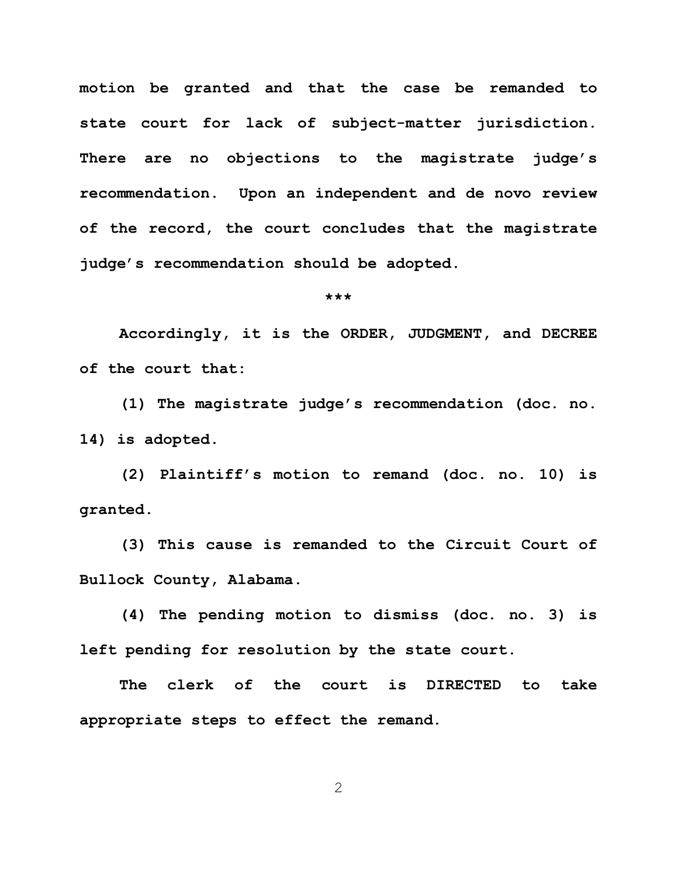**motion be granted and that the case be remanded to state court for lack of subject-matter jurisdiction. There are no objections to the magistrate judge's recommendation. Upon an independent and de novo review of the record, the court concludes that the magistrate judge's recommendation should be adopted.**

## **\*\*\***

**Accordingly, it is the ORDER, JUDGMENT, and DECREE of the court that:**

**(1) The magistrate judge's recommendation (doc. no. 14) is adopted.**

**(2) Plaintiff's motion to remand (doc. no. 10) is granted.**

**(3) This cause is remanded to the Circuit Court of Bullock County, Alabama.**

**(4) The pending motion to dismiss (doc. no. 3) is left pending for resolution by the state court.**

**The clerk of the court is DIRECTED to take appropriate steps to effect the remand.**

2